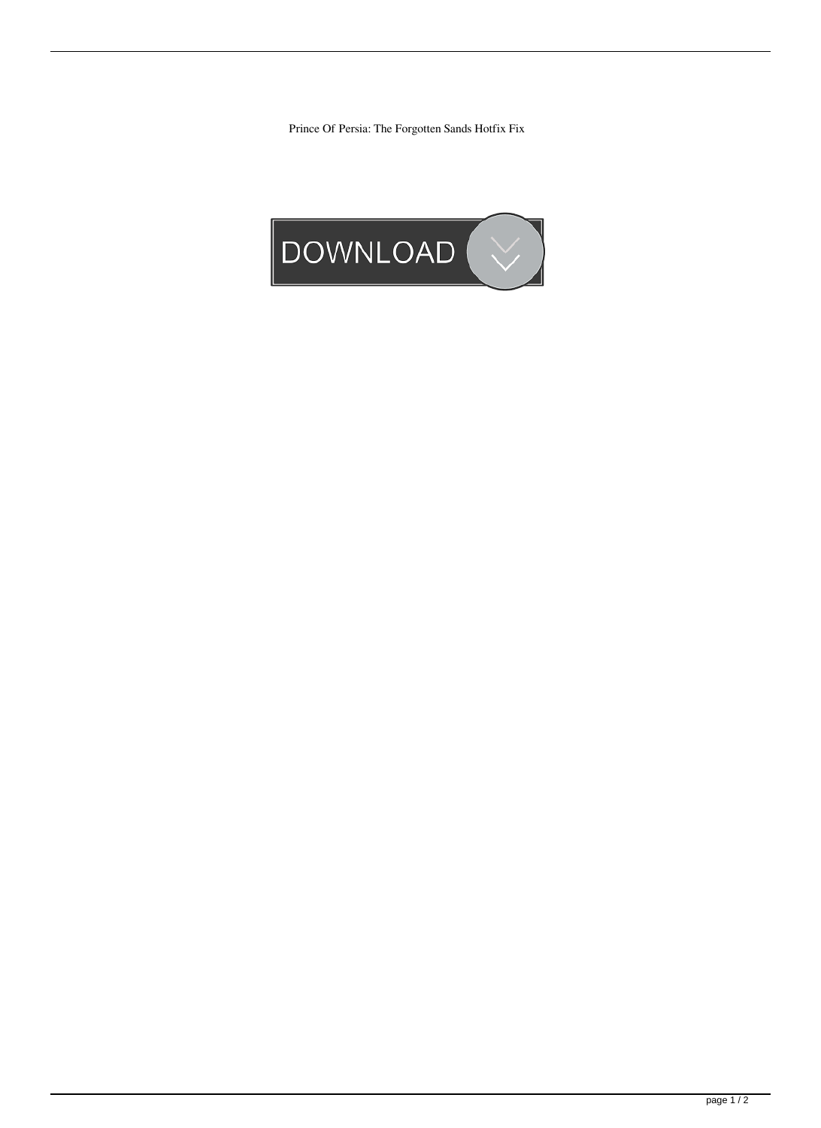Prince Of Persia: The Forgotten Sands Hotfix Fix